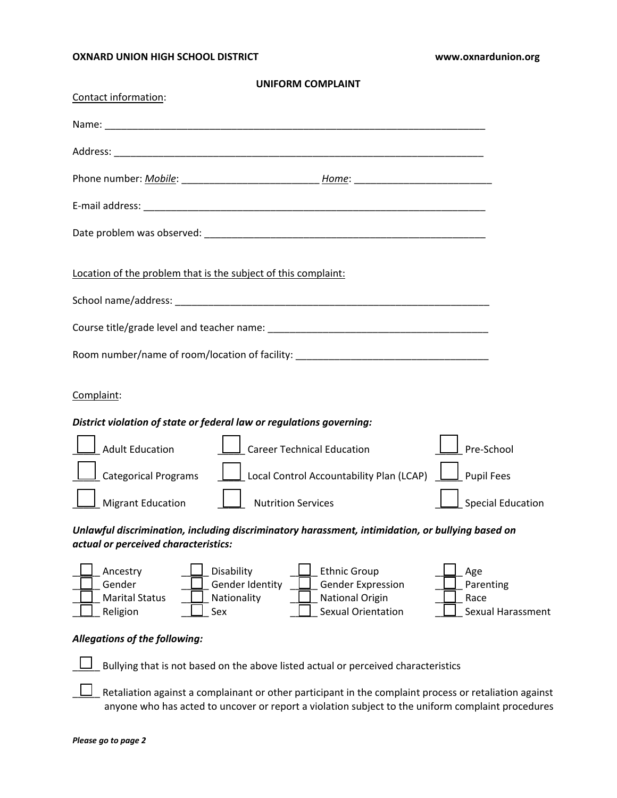## **OXNARD UNION HIGH SCHOOL DISTRICT www.oxnardunion.org**

| Contact information:                                           | <b>UNIFORM COMPLAINT</b>                                                                                                                               |                                               |
|----------------------------------------------------------------|--------------------------------------------------------------------------------------------------------------------------------------------------------|-----------------------------------------------|
|                                                                |                                                                                                                                                        |                                               |
|                                                                |                                                                                                                                                        |                                               |
|                                                                |                                                                                                                                                        |                                               |
|                                                                |                                                                                                                                                        |                                               |
|                                                                |                                                                                                                                                        |                                               |
|                                                                |                                                                                                                                                        |                                               |
| Location of the problem that is the subject of this complaint: |                                                                                                                                                        |                                               |
|                                                                |                                                                                                                                                        |                                               |
|                                                                |                                                                                                                                                        |                                               |
|                                                                | Room number/name of room/location of facility: _________________________________                                                                       |                                               |
| Complaint:                                                     |                                                                                                                                                        |                                               |
|                                                                | District violation of state or federal law or regulations governing:                                                                                   |                                               |
| <b>Adult Education</b>                                         | Career Technical Education                                                                                                                             | Pre-School                                    |
|                                                                | $\Box$ Categorical Programs $\Box$ Local Control Accountability Plan (LCAP)                                                                            | $\Box$ Pupil Fees                             |
| Migrant Education                                              | <b>Nutrition Services</b>                                                                                                                              | <b>Special Education</b>                      |
| actual or perceived characteristics:                           | Unlawful discrimination, including discriminatory harassment, intimidation, or bullying based on                                                       |                                               |
| Ancestry<br>Gender<br><b>Marital Status</b><br>Religion        | Disability<br><b>Ethnic Group</b><br>Gender Identity<br>Gender Expression<br>Nationality<br><b>National Origin</b><br><b>Sexual Orientation</b><br>Sex | Age<br>Parenting<br>Race<br>Sexual Harassment |
| <b>Allegations of the following:</b>                           |                                                                                                                                                        |                                               |
|                                                                | Bullying that is not based on the above listed actual or perceived characteristics                                                                     |                                               |
|                                                                | Retaliation against a complainant or other participant in the complaint process or retaliation against                                                 |                                               |

anyone who has acted to uncover or report a violation subject to the uniform complaint procedures